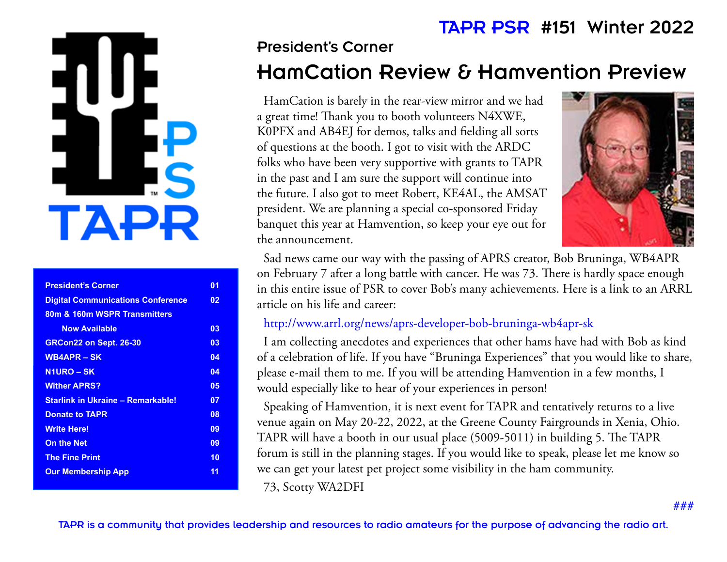# TA·

| <b>President's Corner</b>                | 01 |
|------------------------------------------|----|
| <b>Digital Communications Conference</b> | 02 |
| 80m & 160m WSPR Transmitters             |    |
| <b>Now Available</b>                     | 03 |
| GRCon22 on Sept. 26-30                   | 03 |
| <b>WB4APR – SK</b>                       | 04 |
| <b>N1URO – SK</b>                        | 04 |
| <b>Wither APRS?</b>                      | 05 |
| <b>Starlink in Ukraine - Remarkable!</b> | 07 |
| <b>Donate to TAPR</b>                    | 08 |
| <b>Write Here!</b>                       | 09 |
| <b>On the Net</b>                        | 09 |
| <b>The Fine Print</b>                    | 10 |
| <b>Our Membership App</b>                | 11 |
|                                          |    |

## President's Corner HamCation Review & Hamvention Preview TAPR PSR #151 Winter 2022

HamCation is barely in the rear-view mirror and we had a great time! Thank you to booth volunteers N4XWE, K0PFX and AB4EJ for demos, talks and fielding all sorts of questions at the booth. I got to visit with the ARDC folks who have been very supportive with grants to TAPR in the past and I am sure the support will continue into the future. I also got to meet Robert, KE4AL, the AMSAT president. We are planning a special co-sponsored Friday banquet this year at Hamvention, so keep your eye out for the announcement.



Sad news came our way with the passing of APRS creator, Bob Bruninga, WB4APR on February 7 after a long battle with cancer. He was 73. There is hardly space enough in this entire issue of PSR to cover Bob's many achievements. Here is a link to an ARRL article on his life and career:

#### http://www.arrl.org/news/aprs-developer-bob-bruninga-wb4apr-sk

I am collecting anecdotes and experiences that other hams have had with Bob as kind of a celebration of life. If you have "Bruninga Experiences" that you would like to share, please e-mail them to me. If you will be attending Hamvention in a few months, I would especially like to hear of your experiences in person!

Speaking of Hamvention, it is next event for TAPR and tentatively returns to a live venue again on May 20-22, 2022, at the Greene County Fairgrounds in Xenia, Ohio. TAPR will have a booth in our usual place (5009-5011) in building 5. The TAPR forum is still in the planning stages. If you would like to speak, please let me know so we can get your latest pet project some visibility in the ham community. 73, Scotty WA2DFI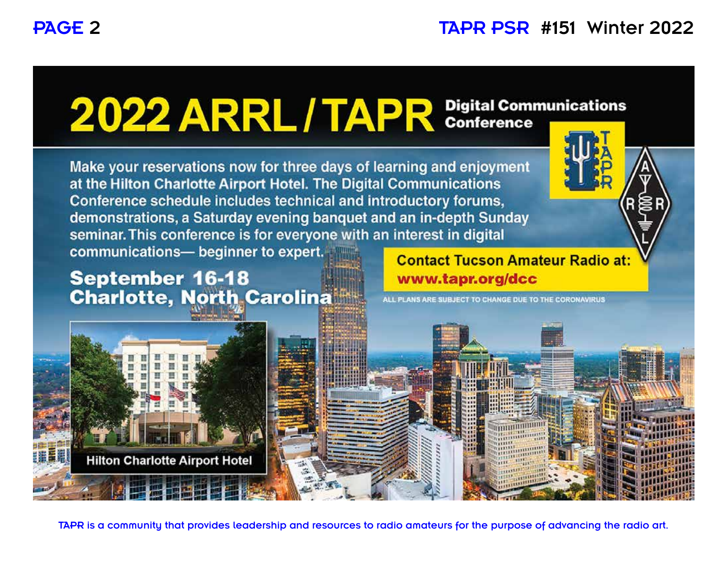# 2022 ARRL / TAPR Digital Communications

Make your reservations now for three days of learning and enjoyment at the Hilton Charlotte Airport Hotel. The Digital Communications Conference schedule includes technical and introductory forums, demonstrations, a Saturday evening banquet and an in-depth Sunday seminar. This conference is for everyone with an interest in digital

communications- beginner to expert.

## **September 16-18 Charlotte, North Carolina**

**Contact Tucson Amateur Radio at:** www.tapr.org/dcc



ALL PLANS ARE SUBJECT TO CHANGE DUE TO THE CORONAVIRUS



TAPR is a community that provides leadership and resources to radio amateurs for the purpose of advancing the radio art.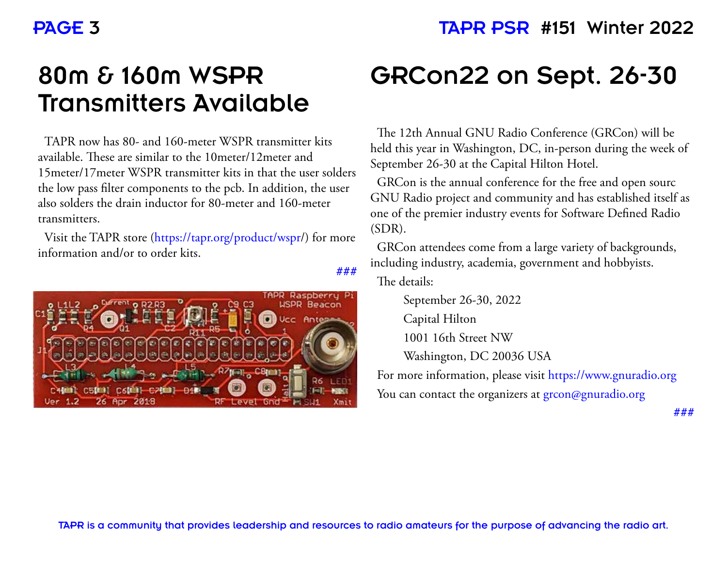## PAGE 3 TAPR PSR #151 Winter 2022

# 80m & 160m WSPR Transmitters Available

TAPR now has 80- and 160-meter WSPR transmitter kits available. These are similar to the 10meter/12meter and 15meter/17meter WSPR transmitter kits in that the user solders the low pass filter components to the pcb. In addition, the user also solders the drain inductor for 80-meter and 160-meter transmitters.

Visit the TAPR store (https://tapr.org/product/wspr/) for more information and/or to order kits.



# GRCon22 on Sept. 26-30

The 12th Annual GNU Radio Conference (GRCon) will be held this year in Washington, DC, in-person during the week of September 26-30 at the Capital Hilton Hotel.

GRCon is the annual conference for the free and open sourc GNU Radio project and community and has established itself as one of the premier industry events for Software Defined Radio (SDR).

GRCon attendees come from a large variety of backgrounds, including industry, academia, government and hobbyists.

The details:

**###**

 September 26-30, 2022 Capital Hilton 1001 16th Street NW Washington, DC 20036 USA

For more information, please visit https://www.gnuradio.org You can contact the organizers at grcon@gnuradio.org

**###**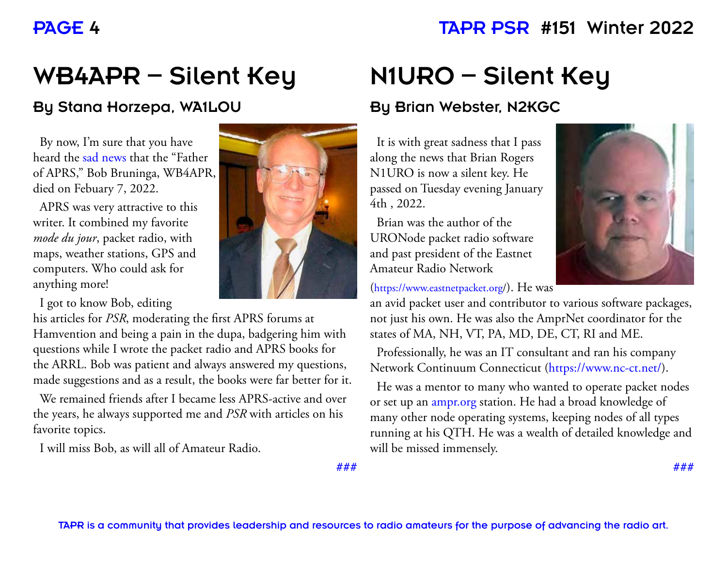#### PAGE 4 TAPR PSR #151 Winter 2022

# WB4APR – Silent Key

#### By Stana Horzepa, WA1LOU

By now, I'm sure that you have heard the sad news that the "Father of APRS," Bob Bruninga, WB4APR, died on Febuary 7, 2022.

APRS was very attractive to this writer. It combined my favorite *mode du jour*, packet radio, with maps, weather stations, GPS and computers. Who could ask for anything more!

I got to know Bob, editing

his articles for *PSR*, moderating the first APRS forums at Hamvention and being a pain in the dupa, badgering him with questions while I wrote the packet radio and APRS books for the ARRL. Bob was patient and always answered my questions, made suggestions and as a result, the books were far better for it.

We remained friends after I became less APRS-active and over the years, he always supported me and *PSR* with articles on his favorite topics.

I will miss Bob, as will all of Amateur Radio.



# N1URO – Silent Key

#### By Brian Webster, N2KGC

It is with great sadness that I pass along the news that Brian Rogers N1URO is now a silent key. He passed on Tuesday evening January 4th , 2022.

Brian was the author of the URONode packet radio software and past president of the Eastnet Amateur Radio Network

(https://www.eastnetpacket.org/). He was

an avid packet user and contributor to various software packages, not just his own. He was also the AmprNet coordinator for the states of MA, NH, VT, PA, MD, DE, CT, RI and ME.

Professionally, he was an IT consultant and ran his company Network Continuum Connecticut (https://www.nc-ct.net/).

He was a mentor to many who wanted to operate packet nodes or set up an ampr.org station. He had a broad knowledge of many other node operating systems, keeping nodes of all types running at his QTH. He was a wealth of detailed knowledge and will be missed immensely.

**###**

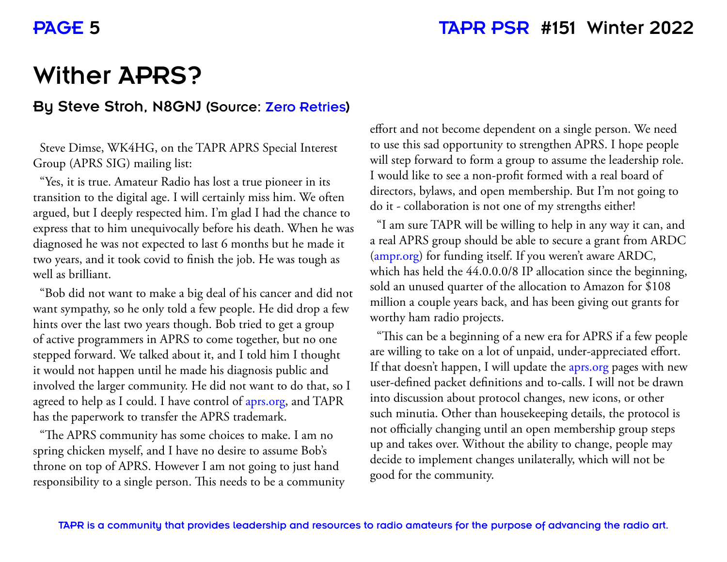#### PAGE 5 TAPR PSR #151 Winter 2022

## Wither APRS?

#### By Steve Stroh, N8GNJ (Source: Zero Retries)

Steve Dimse, WK4HG, on the TAPR APRS Special Interest Group (APRS SIG) mailing list:

"Yes, it is true. Amateur Radio has lost a true pioneer in its transition to the digital age. I will certainly miss him. We often argued, but I deeply respected him. I'm glad I had the chance to express that to him unequivocally before his death. When he was diagnosed he was not expected to last 6 months but he made it two years, and it took covid to finish the job. He was tough as well as brilliant.

"Bob did not want to make a big deal of his cancer and did not want sympathy, so he only told a few people. He did drop a few hints over the last two years though. Bob tried to get a group of active programmers in APRS to come together, but no one stepped forward. We talked about it, and I told him I thought it would not happen until he made his diagnosis public and involved the larger community. He did not want to do that, so I agreed to help as I could. I have control of aprs.org, and TAPR has the paperwork to transfer the APRS trademark.

"The APRS community has some choices to make. I am no spring chicken myself, and I have no desire to assume Bob's throne on top of APRS. However I am not going to just hand responsibility to a single person. This needs to be a community

effort and not become dependent on a single person. We need to use this sad opportunity to strengthen APRS. I hope people will step forward to form a group to assume the leadership role. I would like to see a non-profit formed with a real board of directors, bylaws, and open membership. But I'm not going to do it - collaboration is not one of my strengths either!

"I am sure TAPR will be willing to help in any way it can, and a real APRS group should be able to secure a grant from ARDC (ampr.org) for funding itself. If you weren't aware ARDC, which has held the 44.0.0.0/8 IP allocation since the beginning, sold an unused quarter of the allocation to Amazon for \$108 million a couple years back, and has been giving out grants for worthy ham radio projects.

"This can be a beginning of a new era for APRS if a few people are willing to take on a lot of unpaid, under-appreciated effort. If that doesn't happen, I will update the aprs.org pages with new user-defined packet definitions and to-calls. I will not be drawn into discussion about protocol changes, new icons, or other such minutia. Other than housekeeping details, the protocol is not officially changing until an open membership group steps up and takes over. Without the ability to change, people may decide to implement changes unilaterally, which will not be good for the community.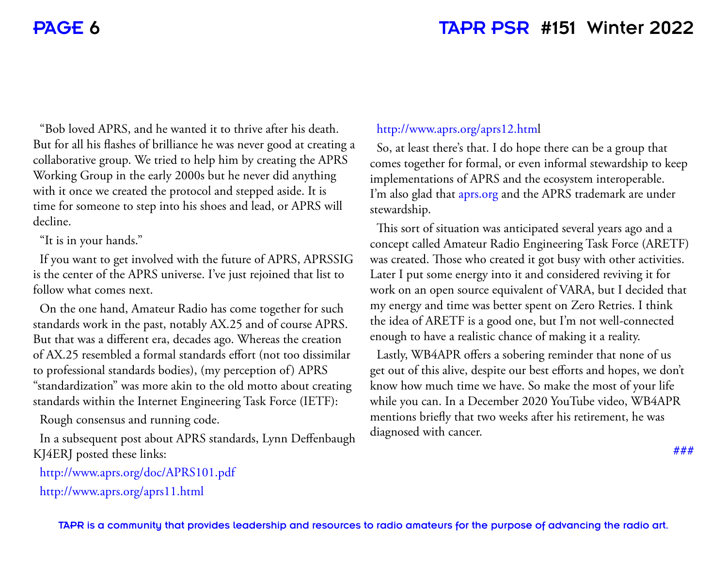#### PAGE 6 TAPR PSR #151 Winter 2022

"Bob loved APRS, and he wanted it to thrive after his death. But for all his flashes of brilliance he was never good at creating a collaborative group. We tried to help him by creating the APRS Working Group in the early 2000s but he never did anything with it once we created the protocol and stepped aside. It is time for someone to step into his shoes and lead, or APRS will decline.

"It is in your hands."

If you want to get involved with the future of APRS, APRSSIG is the center of the APRS universe. I've just rejoined that list to follow what comes next.

On the one hand, Amateur Radio has come together for such standards work in the past, notably AX.25 and of course APRS. But that was a different era, decades ago. Whereas the creation of AX.25 resembled a formal standards effort (not too dissimilar to professional standards bodies), (my perception of) APRS "standardization" was more akin to the old motto about creating standards within the Internet Engineering Task Force (IETF):

Rough consensus and running code.

In a subsequent post about APRS standards, Lynn Deffenbaugh KJ4ERJ posted these links:

http://www.aprs.org/doc/APRS101.pdf http://www.aprs.org/aprs11.html

#### http://www.aprs.org/aprs12.html

So, at least there's that. I do hope there can be a group that comes together for formal, or even informal stewardship to keep implementations of APRS and the ecosystem interoperable. I'm also glad that aprs.org and the APRS trademark are under stewardship.

This sort of situation was anticipated several years ago and a concept called Amateur Radio Engineering Task Force (ARETF) was created. Those who created it got busy with other activities. Later I put some energy into it and considered reviving it for work on an open source equivalent of VARA, but I decided that my energy and time was better spent on Zero Retries. I think the idea of ARETF is a good one, but I'm not well-connected enough to have a realistic chance of making it a reality.

Lastly, WB4APR offers a sobering reminder that none of us get out of this alive, despite our best efforts and hopes, we don't know how much time we have. So make the most of your life while you can. In a December 2020 YouTube video, WB4APR mentions briefly that two weeks after his retirement, he was diagnosed with cancer.

**###**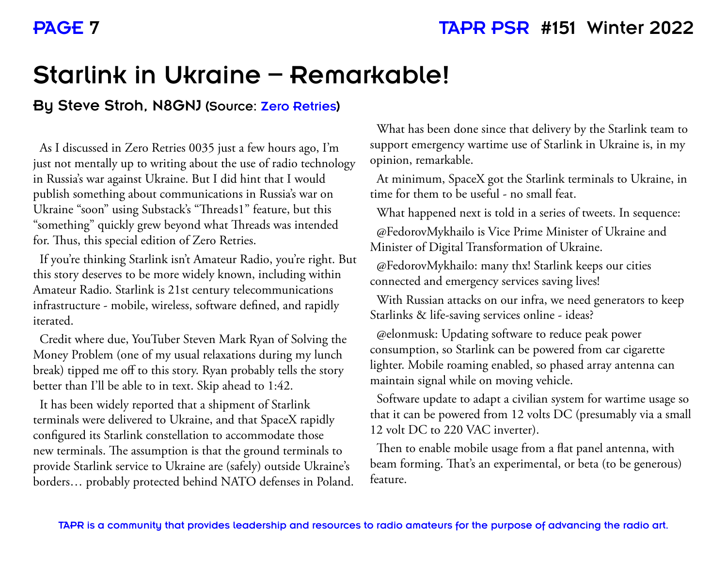# Starlink in Ukraine – Remarkable!

#### By Steve Stroh, N8GNJ (Source: Zero Retries)

As I discussed in Zero Retries 0035 just a few hours ago, I'm just not mentally up to writing about the use of radio technology in Russia's war against Ukraine. But I did hint that I would publish something about communications in Russia's war on Ukraine "soon" using Substack's "Threads1" feature, but this "something" quickly grew beyond what Threads was intended for. Thus, this special edition of Zero Retries.

If you're thinking Starlink isn't Amateur Radio, you're right. But this story deserves to be more widely known, including within Amateur Radio. Starlink is 21st century telecommunications infrastructure - mobile, wireless, software defined, and rapidly iterated.

Credit where due, YouTuber Steven Mark Ryan of Solving the Money Problem (one of my usual relaxations during my lunch break) tipped me off to this story. Ryan probably tells the story better than I'll be able to in text. Skip ahead to 1:42.

It has been widely reported that a shipment of Starlink terminals were delivered to Ukraine, and that SpaceX rapidly configured its Starlink constellation to accommodate those new terminals. The assumption is that the ground terminals to provide Starlink service to Ukraine are (safely) outside Ukraine's borders… probably protected behind NATO defenses in Poland.

What has been done since that delivery by the Starlink team to support emergency wartime use of Starlink in Ukraine is, in my opinion, remarkable.

At minimum, SpaceX got the Starlink terminals to Ukraine, in time for them to be useful - no small feat.

What happened next is told in a series of tweets. In sequence:

@FedorovMykhailo is Vice Prime Minister of Ukraine and Minister of Digital Transformation of Ukraine.

@FedorovMykhailo: many thx! Starlink keeps our cities connected and emergency services saving lives!

With Russian attacks on our infra, we need generators to keep Starlinks & life-saving services online - ideas?

@elonmusk: Updating software to reduce peak power consumption, so Starlink can be powered from car cigarette lighter. Mobile roaming enabled, so phased array antenna can maintain signal while on moving vehicle.

Software update to adapt a civilian system for wartime usage so that it can be powered from 12 volts DC (presumably via a small 12 volt DC to 220 VAC inverter).

Then to enable mobile usage from a flat panel antenna, with beam forming. That's an experimental, or beta (to be generous) feature.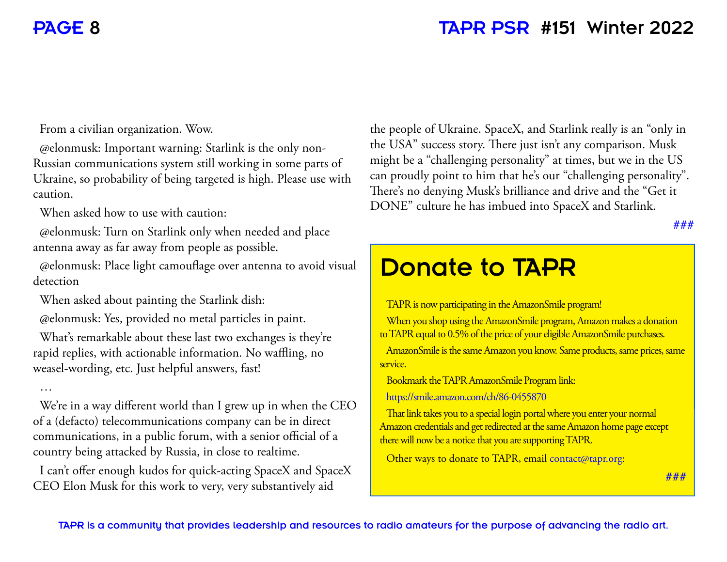#### PAGE 8 TAPR PSR #151 Winter 2022

From a civilian organization. Wow.

@elonmusk: Important warning: Starlink is the only non-Russian communications system still working in some parts of Ukraine, so probability of being targeted is high. Please use with caution.

When asked how to use with caution:

@elonmusk: Turn on Starlink only when needed and place antenna away as far away from people as possible.

@elonmusk: Place light camouflage over antenna to avoid visual detection

When asked about painting the Starlink dish:

@elonmusk: Yes, provided no metal particles in paint.

What's remarkable about these last two exchanges is they're rapid replies, with actionable information. No waffling, no weasel-wording, etc. Just helpful answers, fast!

…

We're in a way different world than I grew up in when the CEO of a (defacto) telecommunications company can be in direct communications, in a public forum, with a senior official of a country being attacked by Russia, in close to realtime.

I can't offer enough kudos for quick-acting SpaceX and SpaceX CEO Elon Musk for this work to very, very substantively aid

the people of Ukraine. SpaceX, and Starlink really is an "only in the USA" success story. There just isn't any comparison. Musk might be a "challenging personality" at times, but we in the US can proudly point to him that he's our "challenging personality". There's no denying Musk's brilliance and drive and the "Get it DONE" culture he has imbued into SpaceX and Starlink.

**###**

#### Donate to TAPR TAPR is now participating in the AmazonSmile program! When you shop using the AmazonSmile program, Amazon makes a donation to TAPR equal to 0.5% of the price of your eligible AmazonSmile purchases. AmazonSmile is the same Amazon you know. Same products, same prices, same service. Bookmark the TAPR AmazonSmile Program link: https://smile.amazon.com/ch/86-0455870 That link takes you to a special login portal where you enter your normal Amazon credentials and get redirected at the same Amazon home page except there will now be a notice that you are supporting TAPR. Other ways to donate to TAPR, email contact@tapr.org: **###**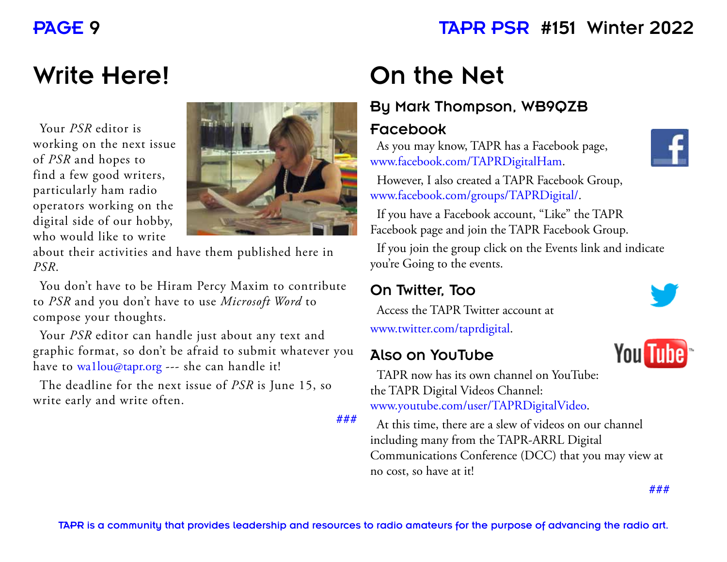## PAGE 9 TAPR PSR #151 Winter 2022

# Write Here!

Your *PSR* editor is working on the next issue of *PSR* and hopes to find a few good writers, particularly ham radio operators working on the digital side of our hobby, who would like to write



about their activities and have them published here in *PSR*.

You don't have to be Hiram Percy Maxim to contribute to *PSR* and you don't have to use *Microsoft Word* to compose your thoughts.

Your *PSR* editor can handle just about any text and graphic format, so don't be afraid to submit whatever you have to wa1lou@tapr.org --- she can handle it!

The deadline for the next issue of *PSR* is June 15, so write early and write often.

**###**

# On the Net

#### By Mark Thompson, WB9QZB

#### Facebook

As you may know, TAPR has a Facebook page, www.facebook.com/TAPRDigitalHam.



However, I also created a TAPR Facebook Group, www.facebook.com/groups/TAPRDigital/.

If you have a Facebook account, "Like" the TAPR Facebook page and join the TAPR Facebook Group.

If you join the group click on the Events link and indicate you're Going to the events.

#### On Twitter, Too

Access the TAPR Twitter account at www.twitter.com/taprdigital.

#### Also on YouTube



**You Tube** 

TAPR now has its own channel on YouTube: the TAPR Digital Videos Channel: www.youtube.com/user/TAPRDigitalVideo.

At this time, there are a slew of videos on our channel including many from the TAPR-ARRL Digital Communications Conference (DCC) that you may view at no cost, so have at it!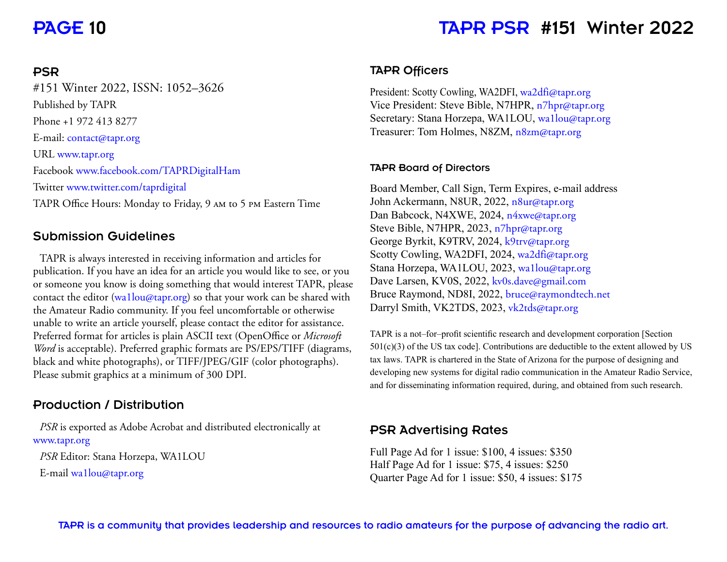#### PAGE 10 TAPR PSR #151 Winter 2022

#### PSR

#151 Winter 2022, ISSN: 1052–3626 Published by TAPR Phone +1 972 413 8277 E-mail: contact@tapr.org URL www.tapr.org Facebook www.facebook.com/TAPRDigitalHam Twitter www.twitter.com/taprdigital TAPR Office Hours: Monday to Friday, 9 AM to 5 PM Eastern Time

#### Submission Guidelines

TAPR is always interested in receiving information and articles for publication. If you have an idea for an article you would like to see, or you or someone you know is doing something that would interest TAPR, please contact the editor (wa1lou@tapr.org) so that your work can be shared with the Amateur Radio community. If you feel uncomfortable or otherwise unable to write an article yourself, please contact the editor for assistance. Preferred format for articles is plain ASCII text (OpenOffice or *Microsoft*) *Word* is acceptable). Preferred graphic formats are PS/EPS/TIFF (diagrams, black and white photographs), or TIFF/JPEG/GIF (color photographs). Please submit graphics at a minimum of 300 DPI.

#### Production / Distribution

*PSR* is exported as Adobe Acrobat and distributed electronically at www.tapr.org *PSR* Editor: Stana Horzepa, WA1LOU E-mail wa1lou@tapr.org

#### TAPR Officers

President: Scotty Cowling, WA2DFI, wa2dfi@tapr.org Vice President: Steve Bible, N7HPR, n7hpr@tapr.org Secretary: Stana Horzepa, WA1LOU, wallou@tapr.org Treasurer: Tom Holmes, N8ZM, n8zm@tapr.org

#### TAPR Board of Directors

Board Member, Call Sign, Term Expires, e-mail address John Ackermann, N8UR, 2022, n8ur@tapr.org Dan Babcock, N4XWE, 2024, n4xwe@tapr.org Steve Bible, N7HPR, 2023, n7hpr@tapr.org George Byrkit, K9TRV, 2024, k9trv@tapr.org Scotty Cowling, WA2DFI, 2024, wa2dfi@tapr.org Stana Horzepa, WA1LOU, 2023, wa1lou@tapr.org Dave Larsen, KV0S, 2022, kv0s.dave@gmail.com Bruce Raymond, ND8I, 2022, bruce@raymondtech.net Darryl Smith, VK2TDS, 2023, vk2tds@tapr.org

TAPR is a not-for-profit scientific research and development corporation [Section]  $501(c)(3)$  of the US tax code]. Contributions are deductible to the extent allowed by US tax laws. TAPR is chartered in the State of Arizona for the purpose of designing and developing new systems for digital radio communication in the Amateur Radio Service, and for disseminating information required, during, and obtained from such research.

#### PSR Advertising Rates

Full Page Ad for 1 issue: \$100, 4 issues: \$350 Half Page Ad for 1 issue: \$75, 4 issues: \$250 Quarter Page Ad for 1 issue: \$50, 4 issues: \$175